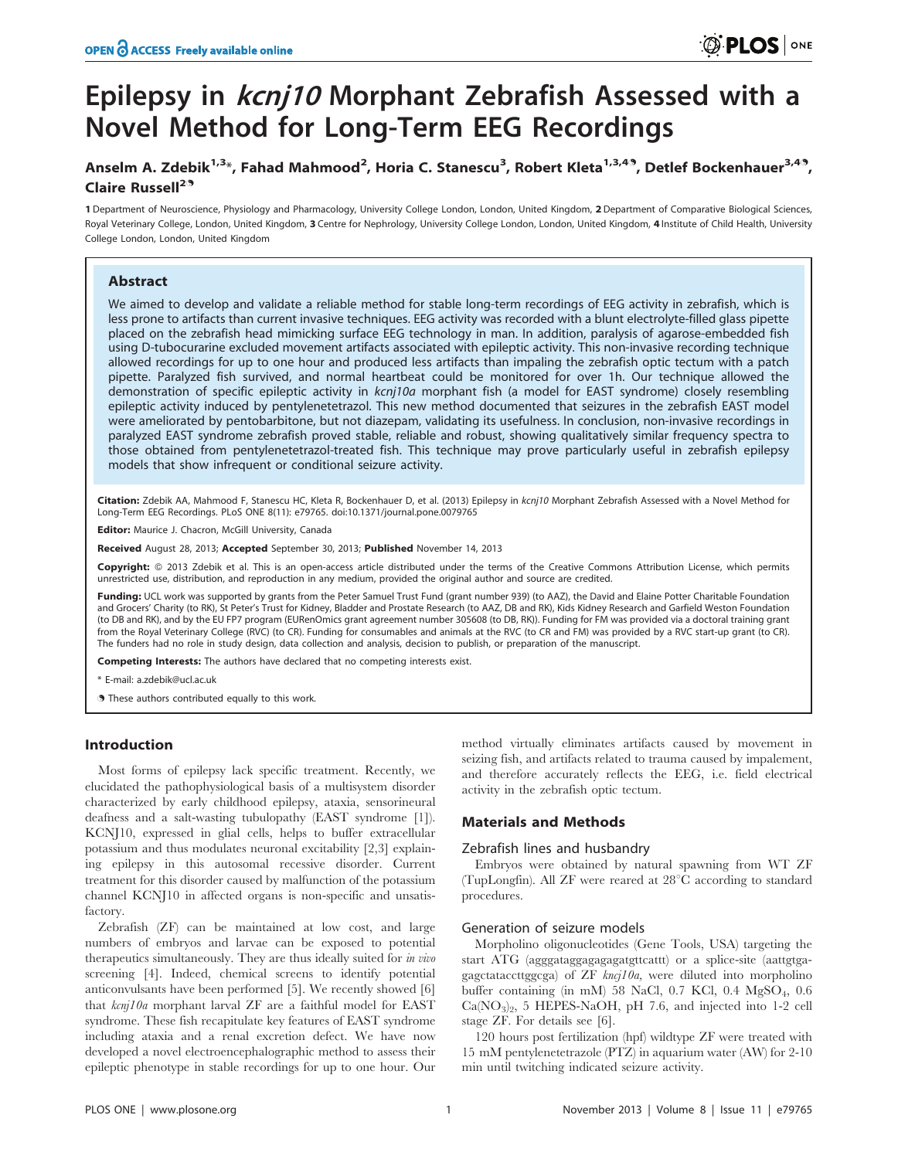# Epilepsy in *kcnj10* Morphant Zebrafish Assessed with a Novel Method for Long-Term EEG Recordings

## Anselm A. Zdebik<sup>1,3</sup>\*, Fahad Mahmood<sup>2</sup>, Horia C. Stanescu<sup>3</sup>, Robert Kleta<sup>1,3,49</sup>, Detlef Bockenhauer<sup>3,49</sup>, Claire Russell<sup>29</sup>

1 Department of Neuroscience, Physiology and Pharmacology, University College London, London, United Kingdom, 2 Department of Comparative Biological Sciences, Royal Veterinary College, London, United Kingdom, 3 Centre for Nephrology, University College London, London, United Kingdom, 4 Institute of Child Health, University College London, London, United Kingdom

## Abstract

We aimed to develop and validate a reliable method for stable long-term recordings of EEG activity in zebrafish, which is less prone to artifacts than current invasive techniques. EEG activity was recorded with a blunt electrolyte-filled glass pipette placed on the zebrafish head mimicking surface EEG technology in man. In addition, paralysis of agarose-embedded fish using D-tubocurarine excluded movement artifacts associated with epileptic activity. This non-invasive recording technique allowed recordings for up to one hour and produced less artifacts than impaling the zebrafish optic tectum with a patch pipette. Paralyzed fish survived, and normal heartbeat could be monitored for over 1h. Our technique allowed the demonstration of specific epileptic activity in kcnj10a morphant fish (a model for EAST syndrome) closely resembling epileptic activity induced by pentylenetetrazol. This new method documented that seizures in the zebrafish EAST model were ameliorated by pentobarbitone, but not diazepam, validating its usefulness. In conclusion, non-invasive recordings in paralyzed EAST syndrome zebrafish proved stable, reliable and robust, showing qualitatively similar frequency spectra to those obtained from pentylenetetrazol-treated fish. This technique may prove particularly useful in zebrafish epilepsy models that show infrequent or conditional seizure activity.

Citation: Zdebik AA, Mahmood F, Stanescu HC, Kleta R, Bockenhauer D, et al. (2013) Epilepsy in kcnj10 Morphant Zebrafish Assessed with a Novel Method for Long-Term EEG Recordings. PLoS ONE 8(11): e79765. doi:10.1371/journal.pone.0079765

Editor: Maurice J. Chacron, McGill University, Canada

Received August 28, 2013; Accepted September 30, 2013; Published November 14, 2013

Copyright: © 2013 Zdebik et al. This is an open-access article distributed under the terms of the Creative Commons Attribution License, which permits unrestricted use, distribution, and reproduction in any medium, provided the original author and source are credited.

Funding: UCL work was supported by grants from the Peter Samuel Trust Fund (grant number 939) (to AAZ), the David and Elaine Potter Charitable Foundation and Grocers' Charity (to RK), St Peter's Trust for Kidney, Bladder and Prostate Research (to AAZ, DB and RK), Kids Kidney Research and Garfield Weston Foundation (to DB and RK), and by the EU FP7 program (EURenOmics grant agreement number 305608 (to DB, RK)). Funding for FM was provided via a doctoral training grant from the Royal Veterinary College (RVC) (to CR). Funding for consumables and animals at the RVC (to CR and FM) was provided by a RVC start-up grant (to CR). The funders had no role in study design, data collection and analysis, decision to publish, or preparation of the manuscript.

Competing Interests: The authors have declared that no competing interests exist.

\* E-mail: a.zdebik@ucl.ac.uk

. These authors contributed equally to this work.

## Introduction

Most forms of epilepsy lack specific treatment. Recently, we elucidated the pathophysiological basis of a multisystem disorder characterized by early childhood epilepsy, ataxia, sensorineural deafness and a salt-wasting tubulopathy (EAST syndrome [1]). KCNJ10, expressed in glial cells, helps to buffer extracellular potassium and thus modulates neuronal excitability [2,3] explaining epilepsy in this autosomal recessive disorder. Current treatment for this disorder caused by malfunction of the potassium channel KCNJ10 in affected organs is non-specific and unsatisfactory.

Zebrafish (ZF) can be maintained at low cost, and large numbers of embryos and larvae can be exposed to potential therapeutics simultaneously. They are thus ideally suited for in vivo screening [4]. Indeed, chemical screens to identify potential anticonvulsants have been performed [5]. We recently showed [6] that kcnj10a morphant larval ZF are a faithful model for EAST syndrome. These fish recapitulate key features of EAST syndrome including ataxia and a renal excretion defect. We have now developed a novel electroencephalographic method to assess their epileptic phenotype in stable recordings for up to one hour. Our method virtually eliminates artifacts caused by movement in seizing fish, and artifacts related to trauma caused by impalement, and therefore accurately reflects the EEG, i.e. field electrical activity in the zebrafish optic tectum.

## Materials and Methods

#### Zebrafish lines and husbandry

Embryos were obtained by natural spawning from WT ZF (TupLongfin). All ZF were reared at  $28^{\circ}$ C according to standard procedures.

## Generation of seizure models

Morpholino oligonucleotides (Gene Tools, USA) targeting the start ATG (agggataggagagagatgttcattt) or a splice-site (aattgtgagagctataccttggcga) of  $ZF$  kncj10a, were diluted into morpholino buffer containing (in mM) 58 NaCl, 0.7 KCl, 0.4 MgSO<sub>4</sub>, 0.6 Ca(NO3)2, 5 HEPES-NaOH, pH 7.6, and injected into 1-2 cell stage ZF. For details see [6].

120 hours post fertilization (hpf) wildtype ZF were treated with 15 mM pentylenetetrazole (PTZ) in aquarium water (AW) for 2-10 min until twitching indicated seizure activity.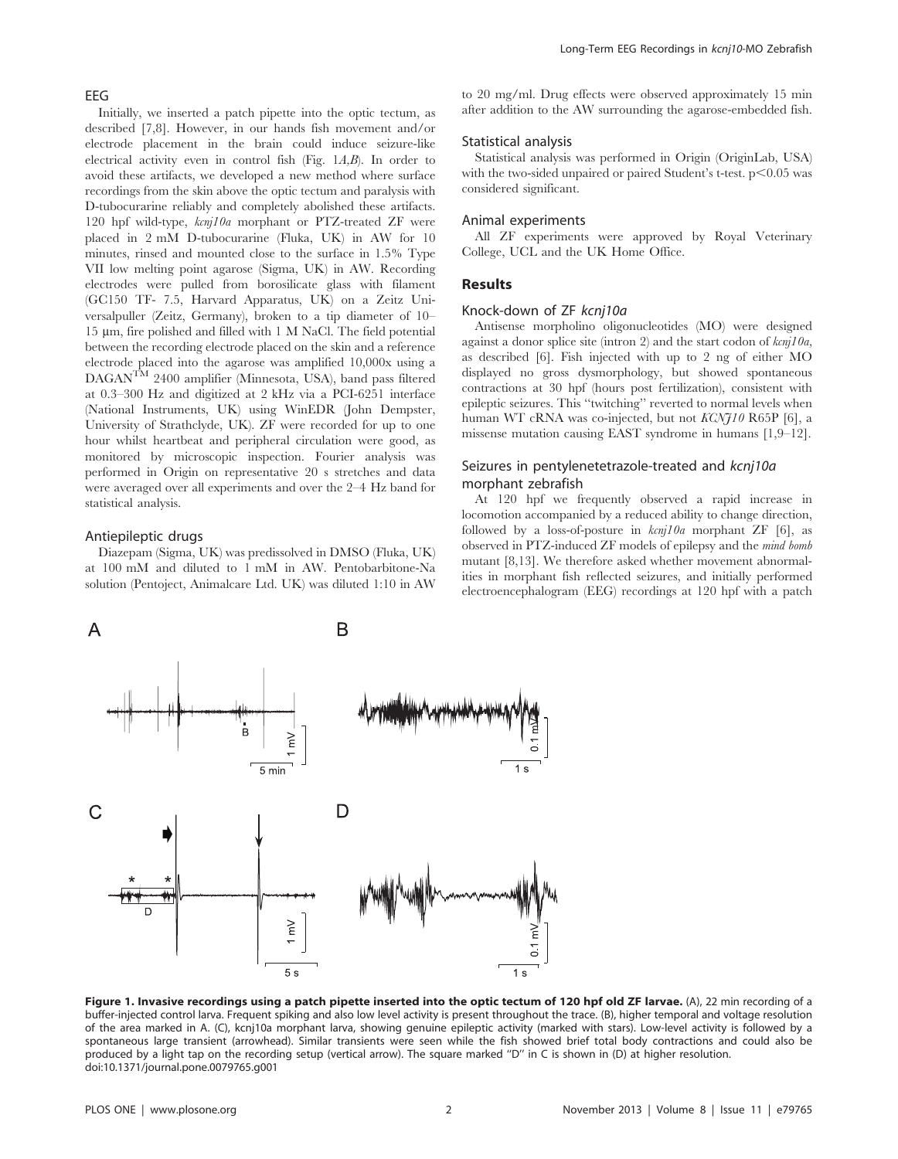#### EEG

Initially, we inserted a patch pipette into the optic tectum, as described [7,8]. However, in our hands fish movement and/or electrode placement in the brain could induce seizure-like electrical activity even in control fish (Fig. 1A,B). In order to avoid these artifacts, we developed a new method where surface recordings from the skin above the optic tectum and paralysis with D-tubocurarine reliably and completely abolished these artifacts. 120 hpf wild-type, kcnj10a morphant or PTZ-treated ZF were placed in 2 mM D-tubocurarine (Fluka, UK) in AW for 10 minutes, rinsed and mounted close to the surface in 1.5% Type VII low melting point agarose (Sigma, UK) in AW. Recording electrodes were pulled from borosilicate glass with filament (GC150 TF- 7.5, Harvard Apparatus, UK) on a Zeitz Universalpuller (Zeitz, Germany), broken to a tip diameter of 10–  $15 \mu m$ , fire polished and filled with 1 M NaCl. The field potential between the recording electrode placed on the skin and a reference electrode placed into the agarose was amplified 10,000x using a  $DAGAN^{TM}$  2400 amplifier (Minnesota, USA), band pass filtered at 0.3–300 Hz and digitized at 2 kHz via a PCI-6251 interface (National Instruments, UK) using WinEDR (John Dempster, University of Strathclyde, UK). ZF were recorded for up to one hour whilst heartbeat and peripheral circulation were good, as monitored by microscopic inspection. Fourier analysis was performed in Origin on representative 20 s stretches and data were averaged over all experiments and over the 2–4 Hz band for statistical analysis.

#### Antiepileptic drugs

Diazepam (Sigma, UK) was predissolved in DMSO (Fluka, UK) at 100 mM and diluted to 1 mM in AW. Pentobarbitone-Na solution (Pentoject, Animalcare Ltd. UK) was diluted 1:10 in AW to 20 mg/ml. Drug effects were observed approximately 15 min after addition to the AW surrounding the agarose-embedded fish.

### Statistical analysis

Statistical analysis was performed in Origin (OriginLab, USA) with the two-sided unpaired or paired Student's t-test.  $p<0.05$  was considered significant.

#### Animal experiments

All ZF experiments were approved by Royal Veterinary College, UCL and the UK Home Office.

#### Results

#### Knock-down of ZF kcnj10a

Antisense morpholino oligonucleotides (MO) were designed against a donor splice site (intron 2) and the start codon of  $kcnj10a$ , as described [6]. Fish injected with up to 2 ng of either MO displayed no gross dysmorphology, but showed spontaneous contractions at 30 hpf (hours post fertilization), consistent with epileptic seizures. This ''twitching'' reverted to normal levels when human WT cRNA was co-injected, but not KCNJ10 R65P [6], a missense mutation causing EAST syndrome in humans [1,9–12].

## Seizures in pentylenetetrazole-treated and kcnj10a morphant zebrafish

At 120 hpf we frequently observed a rapid increase in locomotion accompanied by a reduced ability to change direction, followed by a loss-of-posture in  $\frac{k}{u}$  morphant ZF [6], as observed in PTZ-induced ZF models of epilepsy and the mind bomb mutant [8,13]. We therefore asked whether movement abnormalities in morphant fish reflected seizures, and initially performed electroencephalogram (EEG) recordings at 120 hpf with a patch



Figure 1. Invasive recordings using a patch pipette inserted into the optic tectum of 120 hpf old ZF larvae. (A), 22 min recording of a buffer-injected control larva. Frequent spiking and also low level activity is present throughout the trace. (B), higher temporal and voltage resolution of the area marked in A. (C), kcnj10a morphant larva, showing genuine epileptic activity (marked with stars). Low-level activity is followed by a spontaneous large transient (arrowhead). Similar transients were seen while the fish showed brief total body contractions and could also be produced by a light tap on the recording setup (vertical arrow). The square marked "D" in C is shown in (D) at higher resolution. doi:10.1371/journal.pone.0079765.g001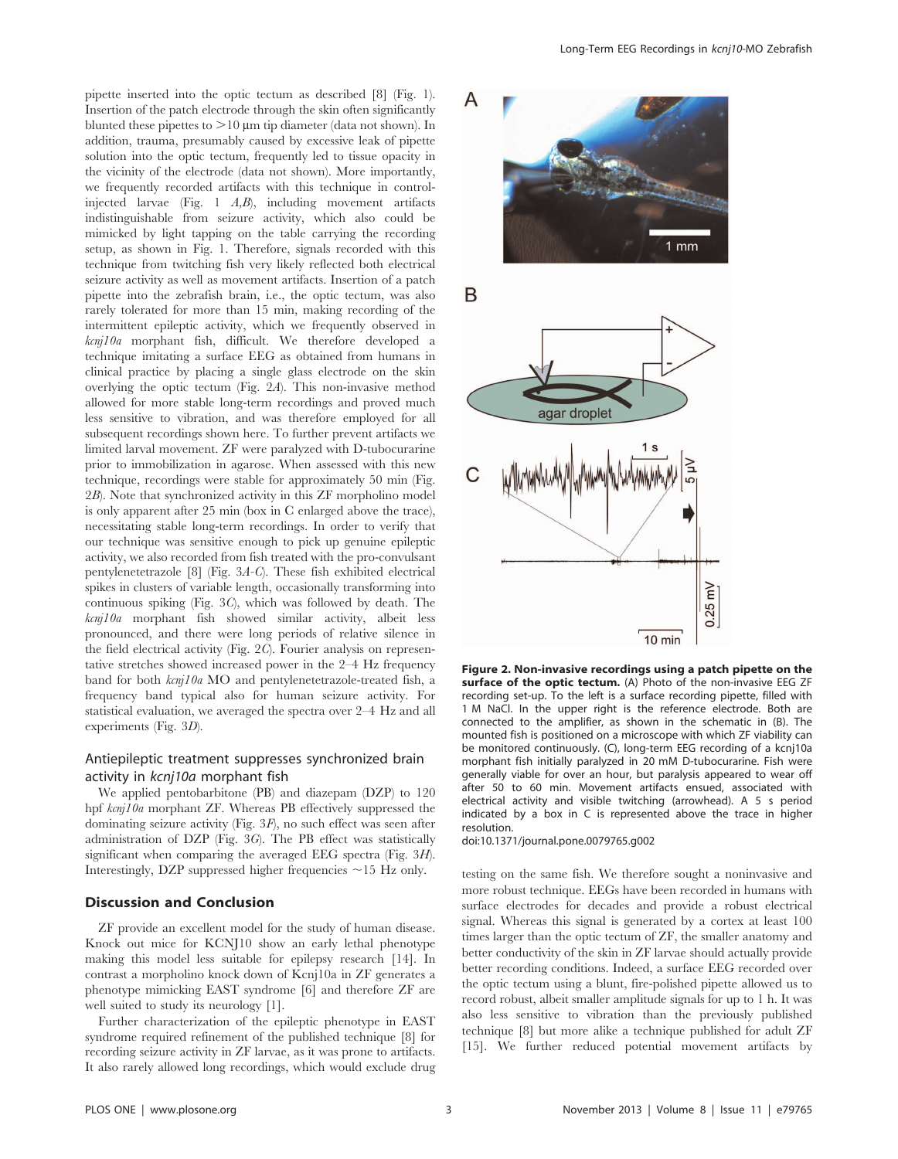pipette inserted into the optic tectum as described [8] (Fig. 1). Insertion of the patch electrode through the skin often significantly blunted these pipettes to  $>10 \mu m$  tip diameter (data not shown). In addition, trauma, presumably caused by excessive leak of pipette solution into the optic tectum, frequently led to tissue opacity in the vicinity of the electrode (data not shown). More importantly, we frequently recorded artifacts with this technique in controlinjected larvae (Fig. 1 A,B), including movement artifacts indistinguishable from seizure activity, which also could be mimicked by light tapping on the table carrying the recording setup, as shown in Fig. 1. Therefore, signals recorded with this technique from twitching fish very likely reflected both electrical seizure activity as well as movement artifacts. Insertion of a patch pipette into the zebrafish brain, i.e., the optic tectum, was also rarely tolerated for more than 15 min, making recording of the intermittent epileptic activity, which we frequently observed in kcnj10a morphant fish, difficult. We therefore developed a technique imitating a surface EEG as obtained from humans in clinical practice by placing a single glass electrode on the skin overlying the optic tectum (Fig. 2A). This non-invasive method allowed for more stable long-term recordings and proved much less sensitive to vibration, and was therefore employed for all subsequent recordings shown here. To further prevent artifacts we limited larval movement. ZF were paralyzed with D-tubocurarine prior to immobilization in agarose. When assessed with this new technique, recordings were stable for approximately 50 min (Fig. 2B). Note that synchronized activity in this ZF morpholino model is only apparent after 25 min (box in C enlarged above the trace), necessitating stable long-term recordings. In order to verify that our technique was sensitive enough to pick up genuine epileptic activity, we also recorded from fish treated with the pro-convulsant pentylenetetrazole [8] (Fig. 3A-C). These fish exhibited electrical spikes in clusters of variable length, occasionally transforming into continuous spiking (Fig. 3C), which was followed by death. The kcnj10a morphant fish showed similar activity, albeit less pronounced, and there were long periods of relative silence in the field electrical activity (Fig. 2C). Fourier analysis on representative stretches showed increased power in the 2–4 Hz frequency band for both kcnj10a MO and pentylenetetrazole-treated fish, a frequency band typical also for human seizure activity. For statistical evaluation, we averaged the spectra over 2–4 Hz and all experiments (Fig. 3D).

## Antiepileptic treatment suppresses synchronized brain activity in kcnj10a morphant fish

We applied pentobarbitone (PB) and diazepam (DZP) to 120 hpf kcnj10a morphant ZF. Whereas PB effectively suppressed the dominating seizure activity (Fig. 3F), no such effect was seen after administration of DZP (Fig. 3G). The PB effect was statistically significant when comparing the averaged EEG spectra (Fig. 3H). Interestingly, DZP suppressed higher frequencies  $\sim$  15 Hz only.

## Discussion and Conclusion

ZF provide an excellent model for the study of human disease. Knock out mice for KCNJ10 show an early lethal phenotype making this model less suitable for epilepsy research [14]. In contrast a morpholino knock down of Kcnj10a in ZF generates a phenotype mimicking EAST syndrome [6] and therefore ZF are well suited to study its neurology [1].

Further characterization of the epileptic phenotype in EAST syndrome required refinement of the published technique [8] for recording seizure activity in ZF larvae, as it was prone to artifacts. It also rarely allowed long recordings, which would exclude drug



Figure 2. Non-invasive recordings using a patch pipette on the surface of the optic tectum. (A) Photo of the non-invasive EEG ZF recording set-up. To the left is a surface recording pipette, filled with 1 M NaCl. In the upper right is the reference electrode. Both are connected to the amplifier, as shown in the schematic in (B). The mounted fish is positioned on a microscope with which ZF viability can be monitored continuously. (C), long-term EEG recording of a kcnj10a morphant fish initially paralyzed in 20 mM D-tubocurarine. Fish were generally viable for over an hour, but paralysis appeared to wear off after 50 to 60 min. Movement artifacts ensued, associated with electrical activity and visible twitching (arrowhead). A 5 s period indicated by a box in C is represented above the trace in higher resolution.

doi:10.1371/journal.pone.0079765.g002

testing on the same fish. We therefore sought a noninvasive and more robust technique. EEGs have been recorded in humans with surface electrodes for decades and provide a robust electrical signal. Whereas this signal is generated by a cortex at least 100 times larger than the optic tectum of ZF, the smaller anatomy and better conductivity of the skin in ZF larvae should actually provide better recording conditions. Indeed, a surface EEG recorded over the optic tectum using a blunt, fire-polished pipette allowed us to record robust, albeit smaller amplitude signals for up to 1 h. It was also less sensitive to vibration than the previously published technique [8] but more alike a technique published for adult ZF [15]. We further reduced potential movement artifacts by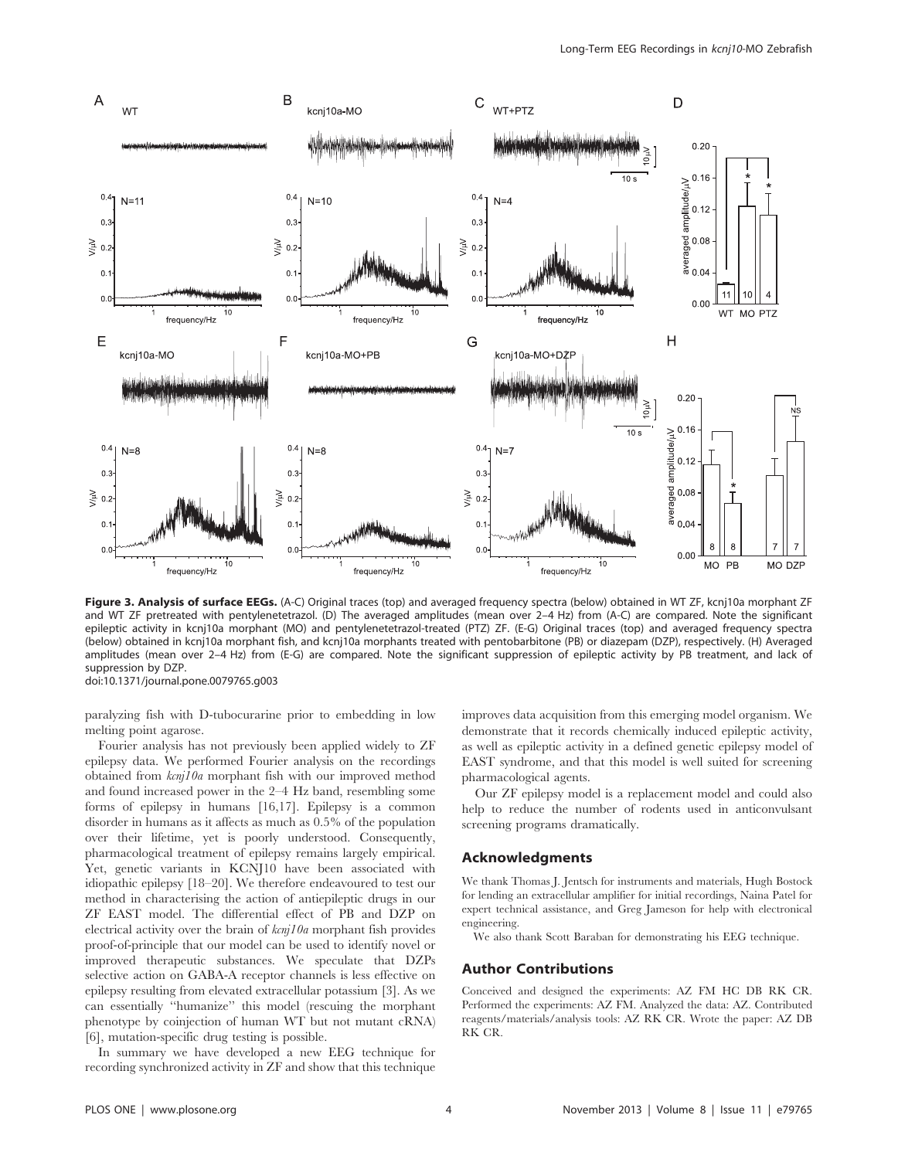

Figure 3. Analysis of surface EEGs. (A-C) Original traces (top) and averaged frequency spectra (below) obtained in WT ZF, kcnj10a morphant ZF and WT ZF pretreated with pentylenetetrazol. (D) The averaged amplitudes (mean over 2–4 Hz) from (A-C) are compared. Note the significant epileptic activity in kcnj10a morphant (MO) and pentylenetetrazol-treated (PTZ) ZF. (E-G) Original traces (top) and averaged frequency spectra (below) obtained in kcnj10a morphant fish, and kcnj10a morphants treated with pentobarbitone (PB) or diazepam (DZP), respectively. (H) Averaged amplitudes (mean over 2-4 Hz) from (E-G) are compared. Note the significant suppression of epileptic activity by PB treatment, and lack of suppression by DZP. doi:10.1371/journal.pone.0079765.g003

paralyzing fish with D-tubocurarine prior to embedding in low melting point agarose.

Fourier analysis has not previously been applied widely to ZF epilepsy data. We performed Fourier analysis on the recordings obtained from kcnj10a morphant fish with our improved method and found increased power in the 2–4 Hz band, resembling some forms of epilepsy in humans [16,17]. Epilepsy is a common disorder in humans as it affects as much as 0.5% of the population over their lifetime, yet is poorly understood. Consequently, pharmacological treatment of epilepsy remains largely empirical. Yet, genetic variants in KCNJ10 have been associated with idiopathic epilepsy [18–20]. We therefore endeavoured to test our method in characterising the action of antiepileptic drugs in our ZF EAST model. The differential effect of PB and DZP on electrical activity over the brain of  $kcn/10a$  morphant fish provides proof-of-principle that our model can be used to identify novel or improved therapeutic substances. We speculate that DZPs selective action on GABA-A receptor channels is less effective on epilepsy resulting from elevated extracellular potassium [3]. As we can essentially ''humanize'' this model (rescuing the morphant phenotype by coinjection of human WT but not mutant cRNA) [6], mutation-specific drug testing is possible.

In summary we have developed a new EEG technique for recording synchronized activity in ZF and show that this technique

improves data acquisition from this emerging model organism. We demonstrate that it records chemically induced epileptic activity, as well as epileptic activity in a defined genetic epilepsy model of EAST syndrome, and that this model is well suited for screening pharmacological agents.

Our ZF epilepsy model is a replacement model and could also help to reduce the number of rodents used in anticonvulsant screening programs dramatically.

## Acknowledgments

We thank Thomas J. Jentsch for instruments and materials, Hugh Bostock for lending an extracellular amplifier for initial recordings, Naina Patel for expert technical assistance, and Greg Jameson for help with electronical engineering.

We also thank Scott Baraban for demonstrating his EEG technique.

#### Author Contributions

Conceived and designed the experiments: AZ FM HC DB RK CR. Performed the experiments: AZ FM. Analyzed the data: AZ. Contributed reagents/materials/analysis tools: AZ RK CR. Wrote the paper: AZ DB RK CR.